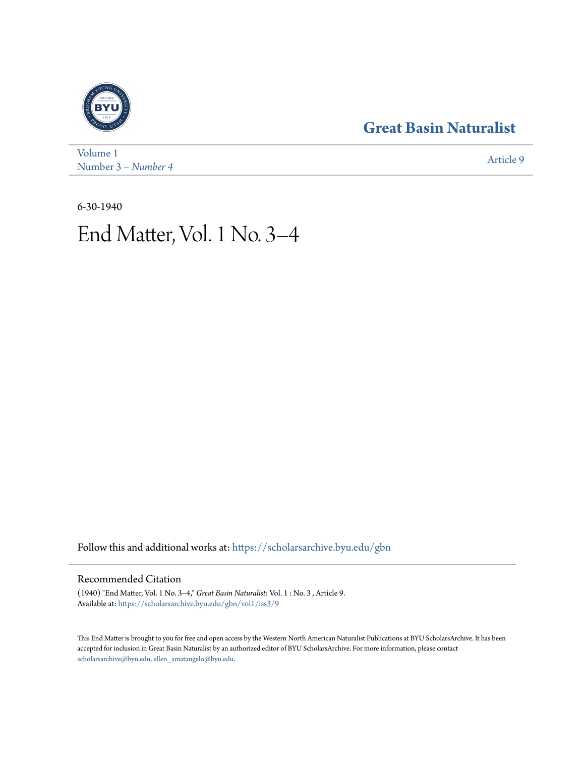## **[Great Basin Naturalist](https://scholarsarchive.byu.edu/gbn?utm_source=scholarsarchive.byu.edu%2Fgbn%2Fvol1%2Fiss3%2F9&utm_medium=PDF&utm_campaign=PDFCoverPages)**



[Volume 1](https://scholarsarchive.byu.edu/gbn/vol1?utm_source=scholarsarchive.byu.edu%2Fgbn%2Fvol1%2Fiss3%2F9&utm_medium=PDF&utm_campaign=PDFCoverPages) Number 3 [– Number 4](https://scholarsarchive.byu.edu/gbn/vol1/iss3?utm_source=scholarsarchive.byu.edu%2Fgbn%2Fvol1%2Fiss3%2F9&utm_medium=PDF&utm_campaign=PDFCoverPages) and 1988 and 1988 and 1988 and 1988 and 1988 and 1988 and 1988 and 1988 and 1988 and 1988 and 1988 and 1988 and 1988 and 1988 and 1988 and 1988 and 1988 and 1988 and 1988 and 1988 and 1988 and 1988 and

6-30-1940

# End Matter, Vol. 1 No. 3–4

Follow this and additional works at: [https://scholarsarchive.byu.edu/gbn](https://scholarsarchive.byu.edu/gbn?utm_source=scholarsarchive.byu.edu%2Fgbn%2Fvol1%2Fiss3%2F9&utm_medium=PDF&utm_campaign=PDFCoverPages)

### Recommended Citation

(1940) "End Matter, Vol. 1 No. 3–4," *Great Basin Naturalist*: Vol. 1 : No. 3 , Article 9. Available at: [https://scholarsarchive.byu.edu/gbn/vol1/iss3/9](https://scholarsarchive.byu.edu/gbn/vol1/iss3/9?utm_source=scholarsarchive.byu.edu%2Fgbn%2Fvol1%2Fiss3%2F9&utm_medium=PDF&utm_campaign=PDFCoverPages)

This End Matter is brought to you for free and open access by the Western North American Naturalist Publications at BYU ScholarsArchive. It has been accepted for inclusion in Great Basin Naturalist by an authorized editor of BYU ScholarsArchive. For more information, please contact [scholarsarchive@byu.edu, ellen\\_amatangelo@byu.edu.](mailto:scholarsarchive@byu.edu,%20ellen_amatangelo@byu.edu)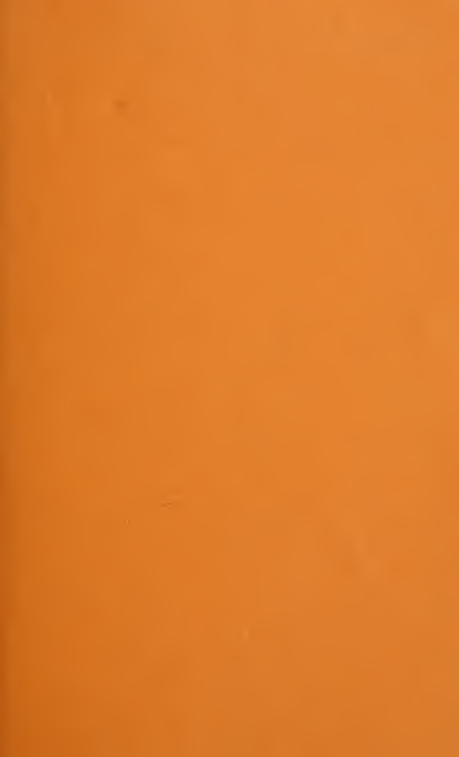